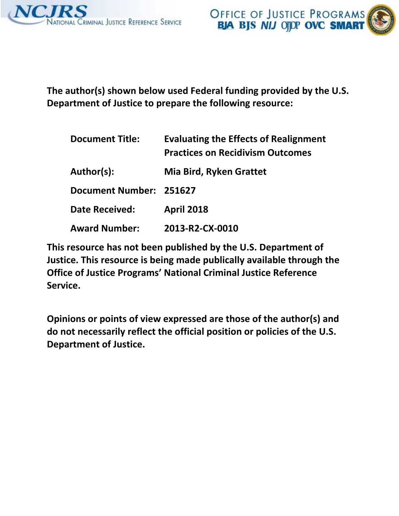

**The author(s) shown below used Federal funding provided by the U.S. Department of Justice to prepare the following resource:**

| <b>Document Title:</b>  | <b>Evaluating the Effects of Realignment</b><br><b>Practices on Recidivism Outcomes</b> |
|-------------------------|-----------------------------------------------------------------------------------------|
| Author(s):              | <b>Mia Bird, Ryken Grattet</b>                                                          |
| Document Number: 251627 |                                                                                         |
| <b>Date Received:</b>   | <b>April 2018</b>                                                                       |
| <b>Award Number:</b>    | 2013-R2-CX-0010                                                                         |

**This resource has not been published by the U.S. Department of Justice. This resource is being made publically available through the Office of Justice Programs' National Criminal Justice Reference Service.**

**Opinions or points of view expressed are those of the author(s) and do not necessarily reflect the official position or policies of the U.S. Department of Justice.**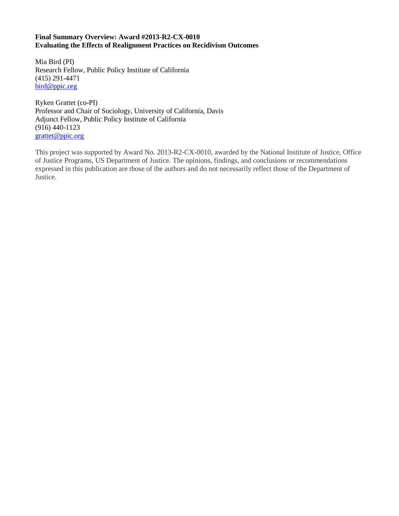# **Final Summary Overview: Award #2013-R2-CX-0010 Evaluating the Effects of Realignment Practices on Recidivism Outcomes**

Mia Bird (PI) Research Fellow, Public Policy Institute of California (415) 291-4471 [bird@ppic.org](mailto:bird@ppic.org)

Ryken Grattet (co-PI) Professor and Chair of Sociology, University of California, Davis Adjunct Fellow, Public Policy Institute of California (916) 440-1123 [grattet@ppic.org](mailto:grattet@ppic.org)

This project was supported by Award No. 2013-R2-CX-0010, awarded by the National Institute of Justice, Office of Justice Programs, US Department of Justice. The opinions, findings, and conclusions or recommendations expressed in this publication are those of the authors and do not necessarily reflect those of the Department of Justice.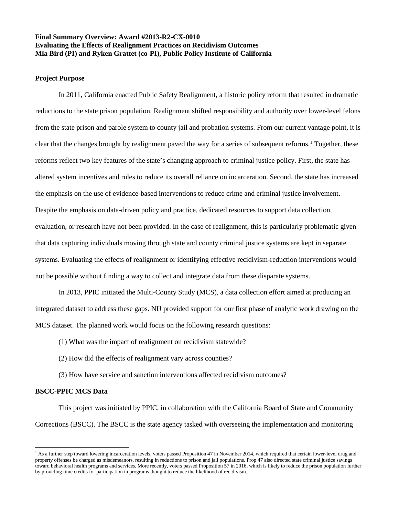# **Final Summary Overview: Award #2013-R2-CX-0010 Evaluating the Effects of Realignment Practices on Recidivism Outcomes Mia Bird (PI) and Ryken Grattet (co-PI), Public Policy Institute of California**

# **Project Purpose**

In 2011, California enacted Public Safety Realignment, a historic policy reform that resulted in dramatic reductions to the state prison population. Realignment shifted responsibility and authority over lower-level felons from the state prison and parole system to county jail and probation systems. From our current vantage point, it is clear that the changes brought by realignment paved the way for a series of subsequent reforms. [1](#page-2-0) Together, these reforms reflect two key features of the state's changing approach to criminal justice policy. First, the state has altered system incentives and rules to reduce its overall reliance on incarceration. Second, the state has increased the emphasis on the use of evidence-based interventions to reduce crime and criminal justice involvement. Despite the emphasis on data-driven policy and practice, dedicated resources to support data collection, evaluation, or research have not been provided. In the case of realignment, this is particularly problematic given that data capturing individuals moving through state and county criminal justice systems are kept in separate systems. Evaluating the effects of realignment or identifying effective recidivism-reduction interventions would not be possible without finding a way to collect and integrate data from these disparate systems.

In 2013, PPIC initiated the Multi-County Study (MCS), a data collection effort aimed at producing an integrated dataset to address these gaps. NIJ provided support for our first phase of analytic work drawing on the MCS dataset. The planned work would focus on the following research questions:

- (1) What was the impact of realignment on recidivism statewide?
- (2) How did the effects of realignment vary across counties?
- (3) How have service and sanction interventions affected recidivism outcomes?

# **BSCC-PPIC MCS Data**

ı

This project was initiated by PPIC, in collaboration with the California Board of State and Community Corrections (BSCC). The BSCC is the state agency tasked with overseeing the implementation and monitoring

<span id="page-2-0"></span><sup>&</sup>lt;sup>1</sup> As a further step toward lowering incarceration levels, voters passed Proposition 47 in November 2014, which required that certain lower-level drug and property offenses be charged as misdemeanors, resulting in reductions to prison and jail populations. Prop 47 also directed state criminal justice savings toward behavioral health programs and services. More recently, voters passed Proposition 57 in 2016, which is likely to reduce the prison population further by providing time credits for participation in programs thought to reduce the likelihood of recidivism.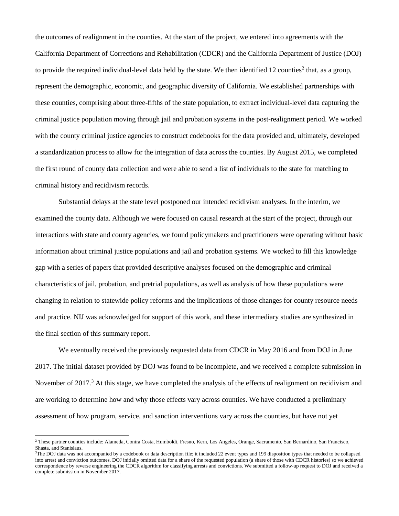the outcomes of realignment in the counties. At the start of the project, we entered into agreements with the California Department of Corrections and Rehabilitation (CDCR) and the California Department of Justice (DOJ) to provide the required individual-level data held by the state. We then identified  $12$  $12$  counties<sup>2</sup> that, as a group, represent the demographic, economic, and geographic diversity of California. We established partnerships with these counties, comprising about three-fifths of the state population, to extract individual-level data capturing the criminal justice population moving through jail and probation systems in the post-realignment period. We worked with the county criminal justice agencies to construct codebooks for the data provided and, ultimately, developed a standardization process to allow for the integration of data across the counties. By August 2015, we completed the first round of county data collection and were able to send a list of individuals to the state for matching to criminal history and recidivism records.

Substantial delays at the state level postponed our intended recidivism analyses. In the interim, we examined the county data. Although we were focused on causal research at the start of the project, through our interactions with state and county agencies, we found policymakers and practitioners were operating without basic information about criminal justice populations and jail and probation systems. We worked to fill this knowledge gap with a series of papers that provided descriptive analyses focused on the demographic and criminal characteristics of jail, probation, and pretrial populations, as well as analysis of how these populations were changing in relation to statewide policy reforms and the implications of those changes for county resource needs and practice. NIJ was acknowledged for support of this work, and these intermediary studies are synthesized in the final section of this summary report.

We eventually received the previously requested data from CDCR in May 2016 and from DOJ in June 2017. The initial dataset provided by DOJ was found to be incomplete, and we received a complete submission in November of 2017.<sup>[3](#page-3-1)</sup> At this stage, we have completed the analysis of the effects of realignment on recidivism and are working to determine how and why those effects vary across counties. We have conducted a preliminary assessment of how program, service, and sanction interventions vary across the counties, but have not yet

 $\overline{\phantom{0}}$ 

<span id="page-3-0"></span><sup>2</sup> These partner counties include: Alameda, Contra Costa, Humboldt, Fresno, Kern, Los Angeles, Orange, Sacramento, San Bernardino, San Francisco, Shasta, and Stanislaus.

<span id="page-3-1"></span><sup>&</sup>lt;sup>3</sup>The DOJ data was not accompanied by a codebook or data description file; it included 22 event types and 199 disposition types that needed to be collapsed into arrest and conviction outcomes. DOJ initially omitted data for a share of the requested population (a share of those with CDCR histories) so we achieved correspondence by reverse engineering the CDCR algorithm for classifying arrests and convictions. We submitted a follow-up request to DOJ and received a complete submission in November 2017.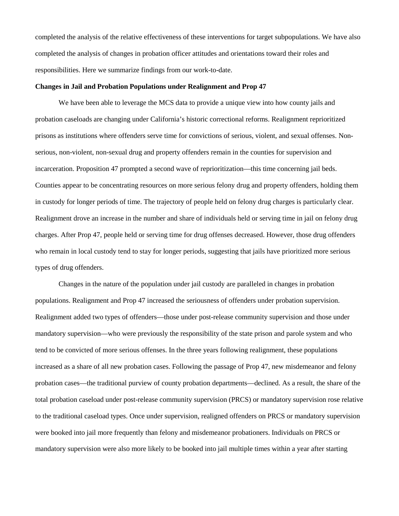completed the analysis of the relative effectiveness of these interventions for target subpopulations. We have also completed the analysis of changes in probation officer attitudes and orientations toward their roles and responsibilities. Here we summarize findings from our work-to-date.

### **Changes in Jail and Probation Populations under Realignment and Prop 47**

We have been able to leverage the MCS data to provide a unique view into how county jails and probation caseloads are changing under California's historic correctional reforms. Realignment reprioritized prisons as institutions where offenders serve time for convictions of serious, violent, and sexual offenses. Nonserious, non-violent, non-sexual drug and property offenders remain in the counties for supervision and incarceration. Proposition 47 prompted a second wave of reprioritization—this time concerning jail beds. Counties appear to be concentrating resources on more serious felony drug and property offenders, holding them in custody for longer periods of time. The trajectory of people held on felony drug charges is particularly clear. Realignment drove an increase in the number and share of individuals held or serving time in jail on felony drug charges. After Prop 47, people held or serving time for drug offenses decreased. However, those drug offenders who remain in local custody tend to stay for longer periods, suggesting that jails have prioritized more serious types of drug offenders.

Changes in the nature of the population under jail custody are paralleled in changes in probation populations. Realignment and Prop 47 increased the seriousness of offenders under probation supervision. Realignment added two types of offenders—those under post-release community supervision and those under mandatory supervision—who were previously the responsibility of the state prison and parole system and who tend to be convicted of more serious offenses. In the three years following realignment, these populations increased as a share of all new probation cases. Following the passage of Prop 47, new misdemeanor and felony probation cases—the traditional purview of county probation departments—declined. As a result, the share of the total probation caseload under post-release community supervision (PRCS) or mandatory supervision rose relative to the traditional caseload types. Once under supervision, realigned offenders on PRCS or mandatory supervision were booked into jail more frequently than felony and misdemeanor probationers. Individuals on PRCS or mandatory supervision were also more likely to be booked into jail multiple times within a year after starting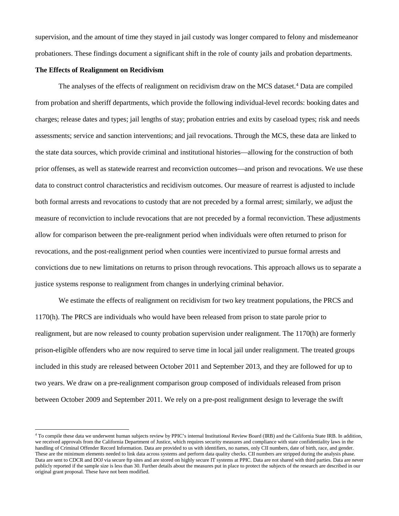supervision, and the amount of time they stayed in jail custody was longer compared to felony and misdemeanor probationers. These findings document a significant shift in the role of county jails and probation departments.

### **The Effects of Realignment on Recidivism**

 $\overline{\phantom{0}}$ 

The analyses of the effects of realignment on recidivism draw on the MCS dataset.<sup>[4](#page-5-0)</sup> Data are compiled from probation and sheriff departments, which provide the following individual-level records: booking dates and charges; release dates and types; jail lengths of stay; probation entries and exits by caseload types; risk and needs assessments; service and sanction interventions; and jail revocations. Through the MCS, these data are linked to the state data sources, which provide criminal and institutional histories—allowing for the construction of both prior offenses, as well as statewide rearrest and reconviction outcomes—and prison and revocations. We use these data to construct control characteristics and recidivism outcomes. Our measure of rearrest is adjusted to include both formal arrests and revocations to custody that are not preceded by a formal arrest; similarly, we adjust the measure of reconviction to include revocations that are not preceded by a formal reconviction. These adjustments allow for comparison between the pre-realignment period when individuals were often returned to prison for revocations, and the post-realignment period when counties were incentivized to pursue formal arrests and convictions due to new limitations on returns to prison through revocations. This approach allows us to separate a justice systems response to realignment from changes in underlying criminal behavior.

We estimate the effects of realignment on recidivism for two key treatment populations, the PRCS and 1170(h). The PRCS are individuals who would have been released from prison to state parole prior to realignment, but are now released to county probation supervision under realignment. The 1170(h) are formerly prison-eligible offenders who are now required to serve time in local jail under realignment. The treated groups included in this study are released between October 2011 and September 2013, and they are followed for up to two years. We draw on a pre-realignment comparison group composed of individuals released from prison between October 2009 and September 2011. We rely on a pre-post realignment design to leverage the swift

<span id="page-5-0"></span><sup>4</sup> To compile these data we underwent human subjects review by PPIC's internal Institutional Review Board (IRB) and the California State IRB. In addition, we received approvals from the California Department of Justice, which requires security measures and compliance with state confidentiality laws in the handling of Criminal Offender Record Information. Data are provided to us with identifiers, no names, only CII numbers, date of birth, race, and gender. These are the minimum elements needed to link data across systems and perform data quality checks. CII numbers are stripped during the analysis phase. Data are sent to CDCR and DOJ via secure ftp sites and are stored on highly secure IT systems at PPIC. Data are not shared with third parties. Data are never publicly reported if the sample size is less than 30. Further details about the measures put in place to protect the subjects of the research are described in our original grant proposal. These have not been modified.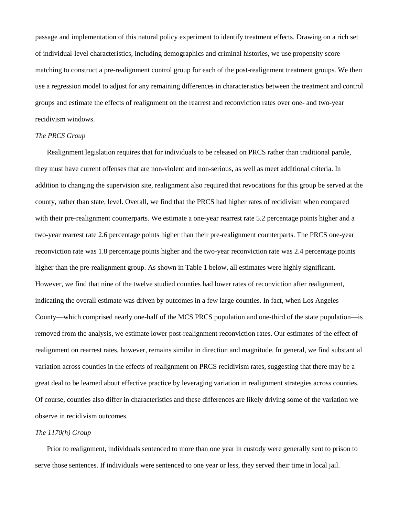passage and implementation of this natural policy experiment to identify treatment effects. Drawing on a rich set of individual-level characteristics, including demographics and criminal histories, we use propensity score matching to construct a pre-realignment control group for each of the post-realignment treatment groups. We then use a regression model to adjust for any remaining differences in characteristics between the treatment and control groups and estimate the effects of realignment on the rearrest and reconviction rates over one- and two-year recidivism windows.

# *The PRCS Group*

Realignment legislation requires that for individuals to be released on PRCS rather than traditional parole, they must have current offenses that are non-violent and non-serious, as well as meet additional criteria. In addition to changing the supervision site, realignment also required that revocations for this group be served at the county, rather than state, level. Overall, we find that the PRCS had higher rates of recidivism when compared with their pre-realignment counterparts. We estimate a one-year rearrest rate 5.2 percentage points higher and a two-year rearrest rate 2.6 percentage points higher than their pre-realignment counterparts. The PRCS one-year reconviction rate was 1.8 percentage points higher and the two-year reconviction rate was 2.4 percentage points higher than the pre-realignment group. As shown in Table 1 below, all estimates were highly significant. However, we find that nine of the twelve studied counties had lower rates of reconviction after realignment, indicating the overall estimate was driven by outcomes in a few large counties. In fact, when Los Angeles County—which comprised nearly one-half of the MCS PRCS population and one-third of the state population—is removed from the analysis, we estimate lower post-realignment reconviction rates. Our estimates of the effect of realignment on rearrest rates, however, remains similar in direction and magnitude. In general, we find substantial variation across counties in the effects of realignment on PRCS recidivism rates, suggesting that there may be a great deal to be learned about effective practice by leveraging variation in realignment strategies across counties. Of course, counties also differ in characteristics and these differences are likely driving some of the variation we observe in recidivism outcomes.

### *The 1170(h) Group*

Prior to realignment, individuals sentenced to more than one year in custody were generally sent to prison to serve those sentences. If individuals were sentenced to one year or less, they served their time in local jail.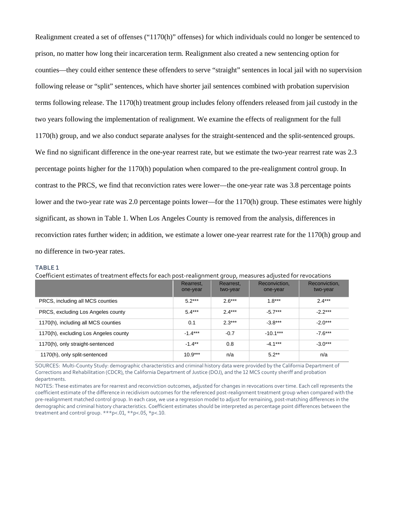Realignment created a set of offenses ("1170(h)" offenses) for which individuals could no longer be sentenced to prison, no matter how long their incarceration term. Realignment also created a new sentencing option for counties—they could either sentence these offenders to serve "straight" sentences in local jail with no supervision following release or "split" sentences, which have shorter jail sentences combined with probation supervision terms following release. The 1170(h) treatment group includes felony offenders released from jail custody in the two years following the implementation of realignment. We examine the effects of realignment for the full 1170(h) group, and we also conduct separate analyses for the straight-sentenced and the split-sentenced groups. We find no significant difference in the one-year rearrest rate, but we estimate the two-year rearrest rate was 2.3 percentage points higher for the 1170(h) population when compared to the pre-realignment control group. In contrast to the PRCS, we find that reconviction rates were lower—the one-year rate was 3.8 percentage points lower and the two-year rate was 2.0 percentage points lower—for the 1170(h) group. These estimates were highly significant, as shown in Table 1. When Los Angeles County is removed from the analysis, differences in reconviction rates further widen; in addition, we estimate a lower one-year rearrest rate for the 1170(h) group and no difference in two-year rates.

#### **TABLE 1**

|  | Coefficient estimates of treatment effects for each post-realignment group, measures adjusted for revocations |  |  |  |
|--|---------------------------------------------------------------------------------------------------------------|--|--|--|
|--|---------------------------------------------------------------------------------------------------------------|--|--|--|

|                                       | $\overline{\phantom{a}}$ |                       |                           |                           |
|---------------------------------------|--------------------------|-----------------------|---------------------------|---------------------------|
|                                       | Rearrest,<br>one-year    | Rearrest,<br>two-year | Reconviction,<br>one-year | Reconviction,<br>two-year |
| PRCS, including all MCS counties      | $5.2***$                 | $2.6***$              | $1.8***$                  | $2.4***$                  |
| PRCS, excluding Los Angeles county    | $5.4***$                 | $2.4***$              | $-5.7***$                 | $-2.2***$                 |
| 1170(h), including all MCS counties   | 0.1                      | $2.3***$              | $-3.8***$                 | $-2.0***$                 |
| 1170(h), excluding Los Angeles county | $-1.4***$                | $-0.7$                | $-10.1***$                | $-7.6***$                 |
| 1170(h), only straight-sentenced      | $-1.4***$                | 0.8                   | $-4.1***$                 | $-3.0***$                 |
| 1170(h), only split-sentenced         | $10.9***$                | n/a                   | $5.2**$                   | n/a                       |

SOURCES: Multi-County Study: demographic characteristics and criminal history data were provided by the California Department of Corrections and Rehabilitation (CDCR), the California Department of Justice (DOJ), and the 12 MCS county sheriff and probation departments.

NOTES: These estimates are for rearrest and reconviction outcomes, adjusted for changes in revocations over time. Each cell represents the coefficient estimate of the difference in recidivism outcomes for the referenced post-realignment treatment group when compared with the pre-realignment matched control group. In each case, we use a regression model to adjust for remaining, post-matching differences in the demographic and criminal history characteristics. Coefficient estimates should be interpreted as percentage point differences between the treatment and control group. \*\*\*p<.01, \*\*p<.05, \*p<.10.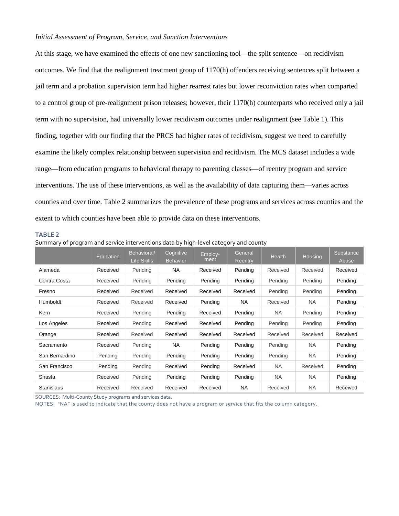### *Initial Assessment of Program, Service, and Sanction Interventions*

At this stage, we have examined the effects of one new sanctioning tool—the split sentence—on recidivism outcomes. We find that the realignment treatment group of 1170(h) offenders receiving sentences split between a jail term and a probation supervision term had higher rearrest rates but lower reconviction rates when comparted to a control group of pre-realignment prison releases; however, their 1170(h) counterparts who received only a jail term with no supervision, had universally lower recidivism outcomes under realignment (see Table 1). This finding, together with our finding that the PRCS had higher rates of recidivism, suggest we need to carefully examine the likely complex relationship between supervision and recidivism. The MCS dataset includes a wide range—from education programs to behavioral therapy to parenting classes—of reentry program and service interventions. The use of these interventions, as well as the availability of data capturing them—varies across counties and over time. Table 2 summarizes the prevalence of these programs and services across counties and the extent to which counties have been able to provide data on these interventions.

#### **TABLE 2**

| Surfinialy of program and service interventions data by ingli-level category and county |           |                            |                              |                 |                    |           |           |                    |
|-----------------------------------------------------------------------------------------|-----------|----------------------------|------------------------------|-----------------|--------------------|-----------|-----------|--------------------|
|                                                                                         | Education | Behavioral/<br>Life Skills | Cognitive<br><b>Behavior</b> | Employ-<br>ment | General<br>Reentry | Health    | Housing   | Substance<br>Abuse |
| Alameda                                                                                 | Received  | Pending                    | NA.                          | Received        | Pending            | Received  | Received  | Received           |
| Contra Costa                                                                            | Received  | Pending                    | Pending                      | Pending         | Pending            | Pending   | Pending   | Pending            |
| Fresno                                                                                  | Received  | Received                   | Received                     | Received        | Received           | Pending   | Pending   | Pending            |
| <b>Humboldt</b>                                                                         | Received  | Received                   | Received                     | Pending         | NA.                | Received  | NA        | Pending            |
| Kern                                                                                    | Received  | Pending                    | Pending                      | Received        | Pending            | NA        | Pending   | Pending            |
| Los Angeles                                                                             | Received  | Pending                    | Received                     | Received        | Pending            | Pending   | Pending   | Pending            |
| Orange                                                                                  | Received  | Received                   | Received                     | Received        | Received           | Received  | Received  | Received           |
| Sacramento                                                                              | Received  | Pending                    | NA.                          | Pending         | Pending            | Pending   | <b>NA</b> | Pending            |
| San Bernardino                                                                          | Pending   | Pending                    | Pending                      | Pending         | Pending            | Pending   | NA.       | Pending            |
| San Francisco                                                                           | Pending   | Pending                    | Received                     | Pending         | Received           | <b>NA</b> | Received  | Pending            |
| Shasta                                                                                  | Received  | Pending                    | Pending                      | Pending         | Pending            | NA        | NA.       | Pending            |
| <b>Stanislaus</b>                                                                       | Received  | Received                   | Received                     | Received        | <b>NA</b>          | Received  | <b>NA</b> | Received           |

Summary of program and service interventions data by high-level category and county

SOURCES: Multi-County Study programs and services data.

NOTES: "NA" is used to indicate that the county does not have a program or service that fits the column category.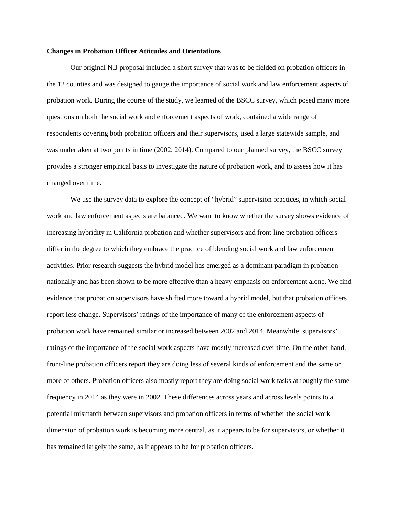#### **Changes in Probation Officer Attitudes and Orientations**

Our original NIJ proposal included a short survey that was to be fielded on probation officers in the 12 counties and was designed to gauge the importance of social work and law enforcement aspects of probation work. During the course of the study, we learned of the BSCC survey, which posed many more questions on both the social work and enforcement aspects of work, contained a wide range of respondents covering both probation officers and their supervisors, used a large statewide sample, and was undertaken at two points in time (2002, 2014). Compared to our planned survey, the BSCC survey provides a stronger empirical basis to investigate the nature of probation work, and to assess how it has changed over time.

We use the survey data to explore the concept of "hybrid" supervision practices, in which social work and law enforcement aspects are balanced. We want to know whether the survey shows evidence of increasing hybridity in California probation and whether supervisors and front-line probation officers differ in the degree to which they embrace the practice of blending social work and law enforcement activities. Prior research suggests the hybrid model has emerged as a dominant paradigm in probation nationally and has been shown to be more effective than a heavy emphasis on enforcement alone. We find evidence that probation supervisors have shifted more toward a hybrid model, but that probation officers report less change. Supervisors' ratings of the importance of many of the enforcement aspects of probation work have remained similar or increased between 2002 and 2014. Meanwhile, supervisors' ratings of the importance of the social work aspects have mostly increased over time. On the other hand, front-line probation officers report they are doing less of several kinds of enforcement and the same or more of others. Probation officers also mostly report they are doing social work tasks at roughly the same frequency in 2014 as they were in 2002. These differences across years and across levels points to a potential mismatch between supervisors and probation officers in terms of whether the social work dimension of probation work is becoming more central, as it appears to be for supervisors, or whether it has remained largely the same, as it appears to be for probation officers.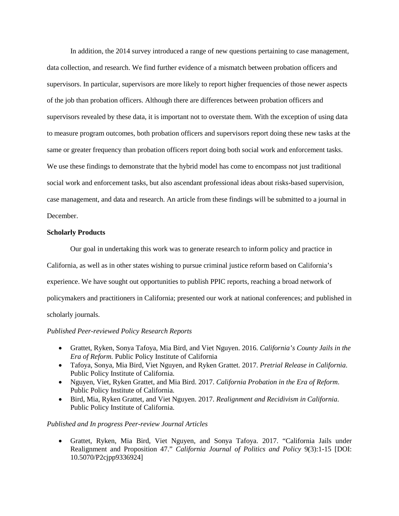In addition, the 2014 survey introduced a range of new questions pertaining to case management, data collection, and research. We find further evidence of a mismatch between probation officers and supervisors. In particular, supervisors are more likely to report higher frequencies of those newer aspects of the job than probation officers. Although there are differences between probation officers and supervisors revealed by these data, it is important not to overstate them. With the exception of using data to measure program outcomes, both probation officers and supervisors report doing these new tasks at the same or greater frequency than probation officers report doing both social work and enforcement tasks. We use these findings to demonstrate that the hybrid model has come to encompass not just traditional social work and enforcement tasks, but also ascendant professional ideas about risks-based supervision, case management, and data and research. An article from these findings will be submitted to a journal in December.

# **Scholarly Products**

Our goal in undertaking this work was to generate research to inform policy and practice in California, as well as in other states wishing to pursue criminal justice reform based on California's experience. We have sought out opportunities to publish PPIC reports, reaching a broad network of policymakers and practitioners in California; presented our work at national conferences; and published in scholarly journals.

### *Published Peer-reviewed Policy Research Reports*

- Grattet, Ryken, Sonya Tafoya, Mia Bird, and Viet Nguyen. 2016. *California's County Jails in the Era of Reform.* Public Policy Institute of California
- Tafoya, Sonya, Mia Bird, Viet Nguyen, and Ryken Grattet. 2017. *Pretrial Release in California*. Public Policy Institute of California.
- Nguyen, Viet, Ryken Grattet, and Mia Bird. 2017. *California Probation in the Era of Reform*. Public Policy Institute of California.
- Bird, Mia, Ryken Grattet, and Viet Nguyen. 2017. *Realignment and Recidivism in California*. Public Policy Institute of California.

### *Published and In progress Peer-review Journal Articles*

• Grattet, Ryken, Mia Bird, Viet Nguyen, and Sonya Tafoya. 2017. "California Jails under Realignment and Proposition 47." *California Journal of Politics and Policy* 9(3):1-15 [DOI: 10.5070/P2cjpp9336924]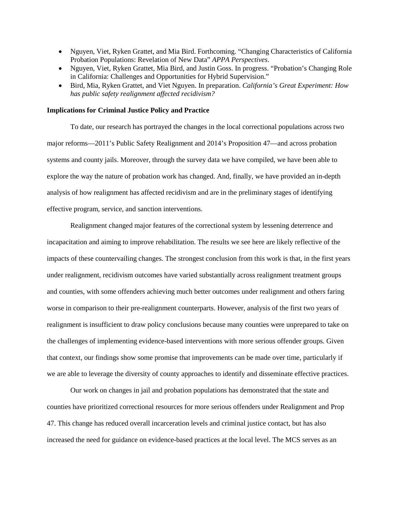- Nguyen, Viet, Ryken Grattet, and Mia Bird. Forthcoming. "Changing Characteristics of California Probation Populations: Revelation of New Data" *APPA Perspectives*.
- Nguyen, Viet, Ryken Grattet, Mia Bird, and Justin Goss. In progress. "Probation's Changing Role in California: Challenges and Opportunities for Hybrid Supervision."
- Bird, Mia, Ryken Grattet, and Viet Nguyen. In preparation. *California's Great Experiment: How has public safety realignment affected recidivism?*

#### **Implications for Criminal Justice Policy and Practice**

To date, our research has portrayed the changes in the local correctional populations across two major reforms—2011's Public Safety Realignment and 2014's Proposition 47—and across probation systems and county jails. Moreover, through the survey data we have compiled, we have been able to explore the way the nature of probation work has changed. And, finally, we have provided an in-depth analysis of how realignment has affected recidivism and are in the preliminary stages of identifying effective program, service, and sanction interventions.

Realignment changed major features of the correctional system by lessening deterrence and incapacitation and aiming to improve rehabilitation. The results we see here are likely reflective of the impacts of these countervailing changes. The strongest conclusion from this work is that, in the first years under realignment, recidivism outcomes have varied substantially across realignment treatment groups and counties, with some offenders achieving much better outcomes under realignment and others faring worse in comparison to their pre-realignment counterparts. However, analysis of the first two years of realignment is insufficient to draw policy conclusions because many counties were unprepared to take on the challenges of implementing evidence-based interventions with more serious offender groups. Given that context, our findings show some promise that improvements can be made over time, particularly if we are able to leverage the diversity of county approaches to identify and disseminate effective practices.

Our work on changes in jail and probation populations has demonstrated that the state and counties have prioritized correctional resources for more serious offenders under Realignment and Prop 47. This change has reduced overall incarceration levels and criminal justice contact, but has also increased the need for guidance on evidence-based practices at the local level. The MCS serves as an